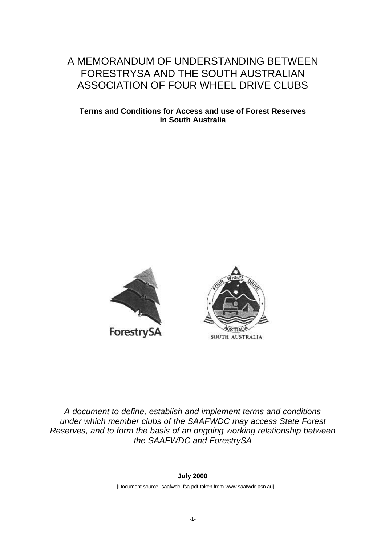# A MEMORANDUM OF UNDERSTANDING BETWEEN FORESTRYSA AND THE SOUTH AUSTRALIAN ASSOCIATION OF FOUR WHEEL DRIVE CLUBS

#### **[Terms and Conditions for Access and use of Forest Reserves](www.saafwdc.asn.au) in South Australia**





*A document to define, establish and implement terms and conditions under which member clubs of the SAAFWDC may access State Forest Reserves, and to form the basis of an ongoing working relationship between the SAAFWDC and ForestrySA*

**July 2000**

[Document source: saafwdc\_fsa.pdf taken from www.saafwdc.asn.au]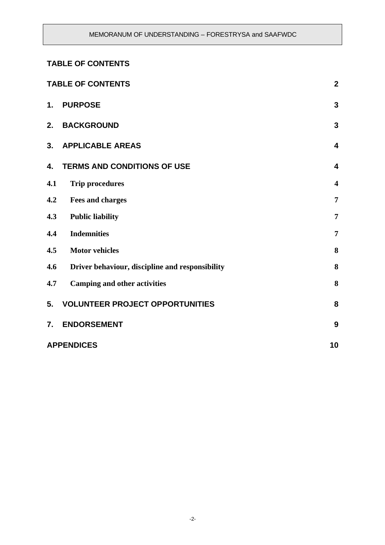# **TABLE OF CONTENTS**

| <b>TABLE OF CONTENTS</b> |                                                 | $\mathbf{2}$            |
|--------------------------|-------------------------------------------------|-------------------------|
| $\mathbf 1$ .            | <b>PURPOSE</b>                                  | 3                       |
| 2.                       | <b>BACKGROUND</b>                               | 3                       |
| 3.                       | <b>APPLICABLE AREAS</b>                         | $\overline{\mathbf{4}}$ |
| 4.                       | <b>TERMS AND CONDITIONS OF USE</b>              | $\overline{\mathbf{4}}$ |
| 4.1                      | <b>Trip procedures</b>                          | $\overline{\mathbf{4}}$ |
| 4.2                      | <b>Fees and charges</b>                         | $\overline{7}$          |
| 4.3                      | <b>Public liability</b>                         | $\overline{7}$          |
| 4.4                      | <b>Indemnities</b>                              | $\overline{7}$          |
| 4.5                      | <b>Motor vehicles</b>                           | 8                       |
| 4.6                      | Driver behaviour, discipline and responsibility | 8                       |
| 4.7                      | <b>Camping and other activities</b>             | 8                       |
| 5.                       | <b>VOLUNTEER PROJECT OPPORTUNITIES</b>          | 8                       |
| 7.                       | <b>ENDORSEMENT</b>                              | 9                       |
| <b>APPENDICES</b><br>10  |                                                 |                         |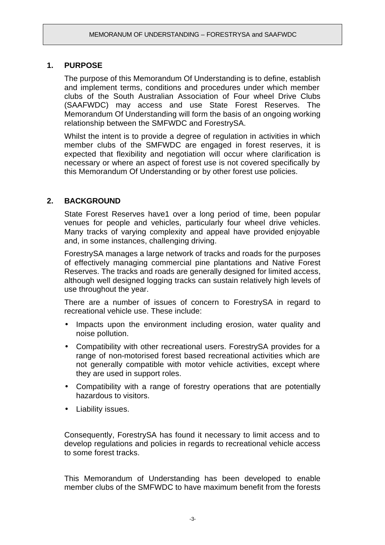# **1. PURPOSE**

The purpose of this Memorandum Of Understanding is to define, establish and implement terms, conditions and procedures under which member clubs of the South Australian Association of Four wheel Drive Clubs (SAAFWDC) may access and use State Forest Reserves. The Memorandum Of Understanding will form the basis of an ongoing working relationship between the SMFWDC and ForestrySA.

Whilst the intent is to provide a degree of regulation in activities in which member clubs of the SMFWDC are engaged in forest reserves, it is expected that flexibility and negotiation will occur where clarification is necessary or where an aspect of forest use is not covered specifically by this Memorandum Of Understanding or by other forest use policies.

# **2. BACKGROUND**

State Forest Reserves have1 over a long period of time, been popular venues for people and vehicles, particularly four wheel drive vehicles. Many tracks of varying complexity and appeal have provided enjoyable and, in some instances, challenging driving.

ForestrySA manages a large network of tracks and roads for the purposes of effectively managing commercial pine plantations and Native Forest Reserves. The tracks and roads are generally designed for limited access, although well designed logging tracks can sustain relatively high levels of use throughout the year.

There are a number of issues of concern to ForestrySA in regard to recreational vehicle use. These include:

- Impacts upon the environment including erosion, water quality and noise pollution.
- Compatibility with other recreational users. ForestrySA provides for a range of non-motorised forest based recreational activities which are not generally compatible with motor vehicle activities, except where they are used in support roles.
- Compatibility with a range of forestry operations that are potentially hazardous to visitors.
- Liability issues.

Consequently, ForestrySA has found it necessary to limit access and to develop regulations and policies in regards to recreational vehicle access to some forest tracks.

This Memorandum of Understanding has been developed to enable member clubs of the SMFWDC to have maximum benefit from the forests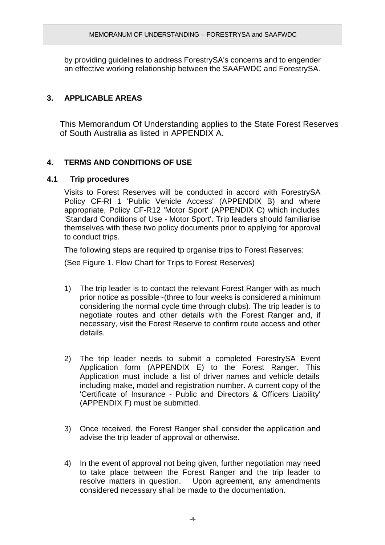by providing guidelines to address ForestrySA's concerns and to engender an effective working relationship between the SAAFWDC and ForestrySA.

# **3. APPLICABLE AREAS**

This Memorandum Of Understanding applies to the State Forest Reserves of South Australia as listed in APPENDIX A.

# **4. TERMS AND CONDITIONS OF USE**

### **4.1 Trip procedures**

Visits to Forest Reserves will be conducted in accord with ForestrySA Policy CF-RI 1 'Public Vehicle Access' (APPENDIX B) and where appropriate, Policy CF-R12 'Motor Sport' (APPENDIX C) which includes 'Standard Conditions of Use - Motor Sport'. Trip leaders should familiarise themselves with these two policy documents prior to applying for approval to conduct trips.

The following steps are required tp organise trips to Forest Reserves:

(See Figure 1. Flow Chart for Trips to Forest Reserves)

- 1) The trip leader is to contact the relevant Forest Ranger with as much prior notice as possible~(three to four weeks is considered a minimum considering the normal cycle time through clubs). The trip leader is to negotiate routes and other details with the Forest Ranger and, if necessary, visit the Forest Reserve to confirm route access and other details.
- 2) The trip leader needs to submit a completed ForestrySA Event Application form (APPENDIX E) to the Forest Ranger. This Application must include a list of driver names and vehicle details including make, model and registration number. A current copy of the 'Certificate of Insurance - Public and Directors & Officers Liability' (APPENDIX F) must be submitted.
- 3) Once received, the Forest Ranger shall consider the application and advise the trip leader of approval or otherwise.
- 4) In the event of approval not being given, further negotiation may need to take place between the Forest Ranger and the trip leader to resolve matters in question. Upon agreement, any amendments considered necessary shall be made to the documentation.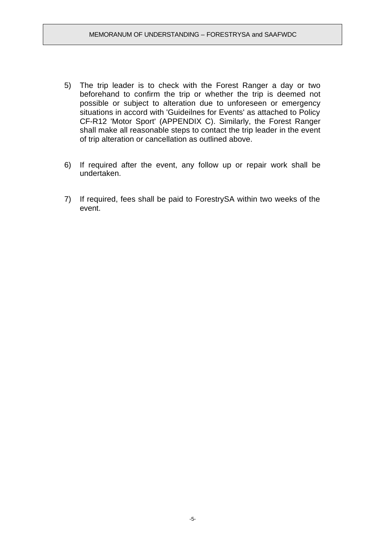- 5) The trip leader is to check with the Forest Ranger a day or two beforehand to confirm the trip or whether the trip is deemed not possible or subject to alteration due to unforeseen or emergency situations in accord with 'Guideilnes for Events' as attached to Policy CF-R12 'Motor Sport' (APPENDIX C). Similarly, the Forest Ranger shall make all reasonable steps to contact the trip leader in the event of trip alteration or cancellation as outlined above.
- 6) If required after the event, any follow up or repair work shall be undertaken.
- 7) If required, fees shall be paid to ForestrySA within two weeks of the event.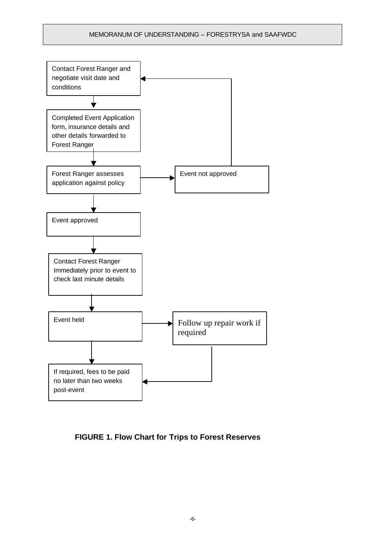#### MEMORANUM OF UNDERSTANDING – FORESTRYSA and SAAFWDC



# **FIGURE 1. Flow Chart for Trips to Forest Reserves**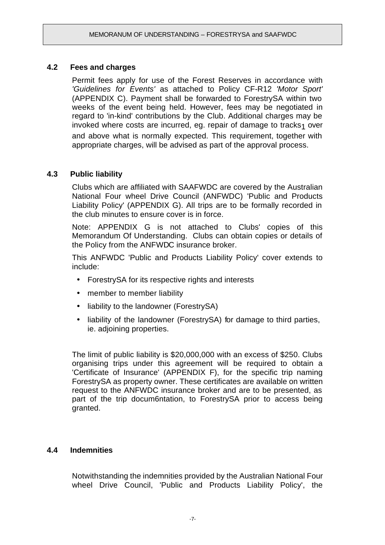# **4.2 Fees and charges**

Permit fees apply for use of the Forest Reserves in accordance with *'Guidelines for Events'* as attached to Policy CF-R12 *'Motor Sport'* (APPENDIX C). Payment shall be forwarded to ForestrySA within two weeks of the event being held. However, fees may be negotiated in regard to 'in-kind' contributions by the Club. Additional charges may be invoked where costs are incurred, eg. repair of damage to tracks $<sub>1</sub>$  over</sub> and above what is normally expected. This requirement, together with appropriate charges, will be advised as part of the approval process.

# **4.3 Public liability**

Clubs which are affiliated with SAAFWDC are covered by the Australian National Four wheel Drive Council (ANFWDC) 'Public and Products Liability Policy' (APPENDIX G). All trips are to be formally recorded in the club minutes to ensure cover is in force.

Note: APPENDIX G is not attached to Clubs' copies of this Memorandum Of Understanding. Clubs can obtain copies or details of the Policy from the ANFWDC insurance broker.

This ANFWDC 'Public and Products Liability Policy' cover extends to include:

- ForestrySA for its respective rights and interests
- member to member liability
- liability to the landowner (ForestrySA)
- liability of the landowner (ForestrySA) for damage to third parties, ie. adjoining properties.

The limit of public liability is \$20,000,000 with an excess of \$250. Clubs organising trips under this agreement will be required to obtain a 'Certificate of Insurance' (APPENDIX F), for the specific trip naming ForestrySA as property owner. These certificates are available on written request to the ANFWDC insurance broker and are to be presented, as part of the trip docum6ntation, to ForestrySA prior to access being granted.

### **4.4 Indemnities**

Notwithstanding the indemnities provided by the Australian National Four wheel Drive Council, 'Public and Products Liability Policy', the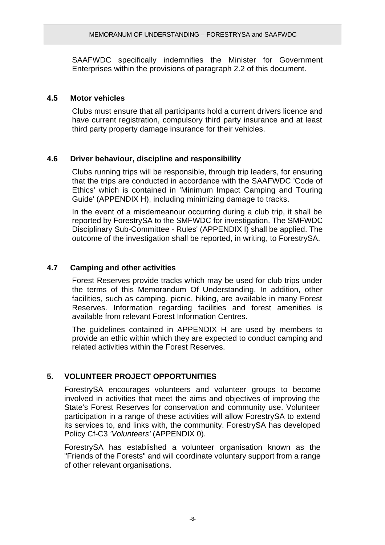SAAFWDC specifically indemnifies the Minister for Government Enterprises within the provisions of paragraph 2.2 of this document.

### **4.5 Motor vehicles**

Clubs must ensure that all participants hold a current drivers licence and have current registration, compulsory third party insurance and at least third party property damage insurance for their vehicles.

# **4.6 Driver behaviour, discipline and responsibility**

Clubs running trips will be responsible, through trip leaders, for ensuring that the trips are conducted in accordance with the SAAFWDC 'Code of Ethics' which is contained in 'Minimum Impact Camping and Touring Guide' (APPENDIX H), including minimizing damage to tracks.

In the event of a misdemeanour occurring during a club trip, it shall be reported by ForestrySA to the SMFWDC for investigation. The SMFWDC Disciplinary Sub-Committee - Rules' (APPENDIX I) shall be applied. The outcome of the investigation shall be reported, in writing, to ForestrySA.

# **4.7 Camping and other activities**

Forest Reserves provide tracks which may be used for club trips under the terms of this Memorandum Of Understanding. In addition, other facilities, such as camping, picnic, hiking, are available in many Forest Reserves. Information regarding facilities and forest amenities is available from relevant Forest Information Centres.

The guidelines contained in APPENDIX H are used by members to provide an ethic within which they are expected to conduct camping and related activities within the Forest Reserves.

# **5. VOLUNTEER PROJECT OPPORTUNITIES**

ForestrySA encourages volunteers and volunteer groups to become involved in activities that meet the aims and objectives of improving the State's Forest Reserves for conservation and community use. Volunteer participation in a range of these activities will allow ForestrySA to extend its services to, and links with, the community. ForestrySA has developed Policy Cf-C3 *'Volunteers'* (APPENDIX 0).

ForestrySA has established a volunteer organisation known as the "Friends of the Forests" and will coordinate voluntary support from a range of other relevant organisations.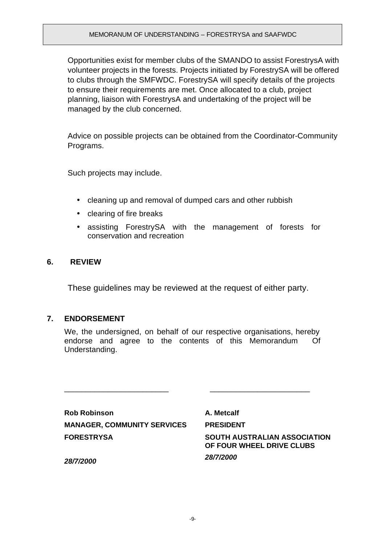Opportunities exist for member clubs of the SMANDO to assist ForestrysA with volunteer projects in the forests. Projects initiated by ForestrySA will be offered to clubs through the SMFWDC. ForestrySA will specify details of the projects to ensure their requirements are met. Once allocated to a club, project planning, liaison with ForestrysA and undertaking of the project will be managed by the club concerned.

Advice on possible projects can be obtained from the Coordinator-Community Programs.

Such projects may include.

- cleaning up and removal of dumped cars and other rubbish
- clearing of fire breaks
- assisting ForestrySA with the management of forests for conservation and recreation

# **6. REVIEW**

These guidelines may be reviewed at the request of either party.

### **7. ENDORSEMENT**

We, the undersigned, on behalf of our respective organisations, hereby endorse and agree to the contents of this Memorandum Of Understanding.

\_\_\_\_\_\_\_\_\_\_\_\_\_\_\_\_\_\_\_\_\_\_\_\_ \_\_\_\_\_\_\_\_\_\_\_\_\_\_\_\_\_\_\_\_\_\_\_

**Rob Robinson MANAGER, COMMUNITY SERVICES FORESTRYSA**

**A. Metcalf PRESIDENT SOUTH AUSTRALIAN ASSOCIATION OF FOUR WHEEL DRIVE CLUBS** *28/7/2000*

*28/7/2000*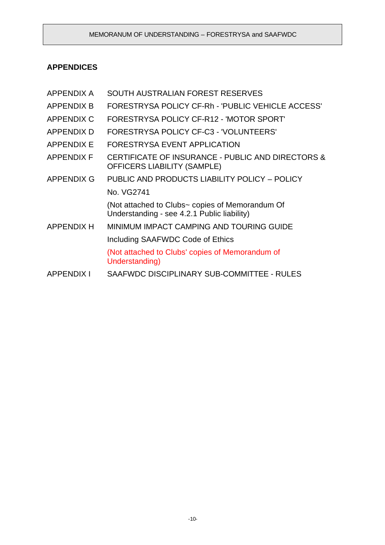# **APPENDICES**

| <b>APPENDIX A</b> | SOUTH AUSTRALIAN FOREST RESERVES                                                               |
|-------------------|------------------------------------------------------------------------------------------------|
| APPENDIX B        | FORESTRYSA POLICY CF-Rh - 'PUBLIC VEHICLE ACCESS'                                              |
| <b>APPENDIX C</b> | FORESTRYSA POLICY CF-R12 - 'MOTOR SPORT'                                                       |
| <b>APPENDIX D</b> | FORESTRYSA POLICY CF-C3 - 'VOLUNTEERS'                                                         |
| <b>APPENDIX E</b> | FORESTRYSA EVENT APPLICATION                                                                   |
| <b>APPENDIX F</b> | CERTIFICATE OF INSURANCE - PUBLIC AND DIRECTORS &<br><b>OFFICERS LIABILITY (SAMPLE)</b>        |
| <b>APPENDIX G</b> | PUBLIC AND PRODUCTS LIABILITY POLICY - POLICY                                                  |
|                   | No. VG2741                                                                                     |
|                   | (Not attached to Clubs~ copies of Memorandum Of<br>Understanding - see 4.2.1 Public liability) |
| <b>APPENDIX H</b> | MINIMUM IMPACT CAMPING AND TOURING GUIDE                                                       |
|                   | Including SAAFWDC Code of Ethics                                                               |
|                   | (Not attached to Clubs' copies of Memorandum of<br>Understanding)                              |
| APPENDIX I        | SAAFWDC DISCIPLINARY SUB-COMMITTEE - RULES                                                     |
|                   |                                                                                                |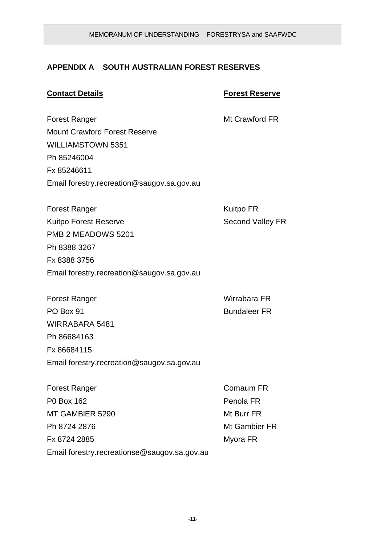# **APPENDIX A SOUTH AUSTRALIAN FOREST RESERVES**

### **Contact Details Forest Reserve**

Forest Ranger **Mt Crawford FR** Mount Crawford Forest Reserve WILLIAMSTOWN 5351 Ph 85246004 Fx 85246611 Email forestry.recreation@saugov.sa.gov.au

Forest Ranger **Kuitpo FR** Kuitpo Forest Reserve **Second Valley FR** PMB 2 MEADOWS 5201 Ph 8388 3267 Fx 8388 3756 Email forestry.recreation@saugov.sa.gov.au

Forest Ranger North Contract Contract Contract Contract Contract Contract Contract Contract Contract Contract Contract Contract Contract Contract Contract Contract Contract Contract Contract Contract Contract Contract Cont PO Box 91 Bundaleer FR WIRRABARA 5481 Ph 86684163 Fx 86684115 Email forestry.recreation@saugov.sa.gov.au

Forest Ranger **Comaum FR** P0 Box 162 Penola FR MT GAMBIER 5290 Mt Burr FR Ph 8724 2876 Mt Gambier FR Fx 8724 2885 Myora FR Email forestry.recreationse@saugov.sa.gov.au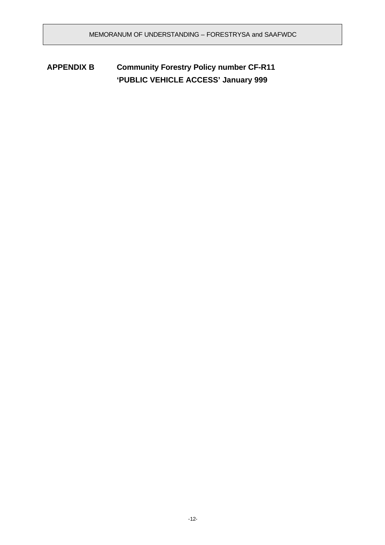**APPENDIX B Community Forestry Policy number CF-R11 'PUBLIC VEHICLE ACCESS' January 999**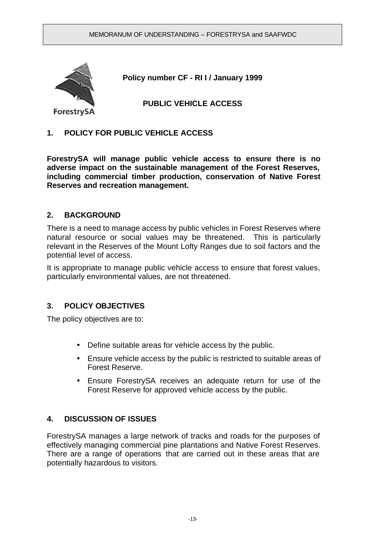

**Policy number CF - RI I / January 1999**

**PUBLIC VEHICLE ACCESS**

# **1. POLICY FOR PUBLIC VEHICLE ACCESS**

**ForestrySA will manage public vehicle access to ensure there is no adverse impact on the sustainable management of the Forest Reserves, including commercial timber production, conservation of Native Forest Reserves and recreation management.**

# **2. BACKGROUND**

There is a need to manage access by public vehicles in Forest Reserves where natural resource or social values may be threatened. This is particularly relevant in the Reserves of the Mount Lofty Ranges due to soil factors and the potential level of access.

It is appropriate to manage public vehicle access to ensure that forest values, particularly environmental values, are not threatened.

### **3. POLICY OBJECTIVES**

The policy objectives are to:

- Define suitable areas for vehicle access by the public.
- Ensure vehicle access by the public is restricted to suitable areas of Forest Reserve.
- Ensure ForestrySA receives an adequate return for use of the Forest Reserve for approved vehicle access by the public.

# **4. DISCUSSION OF ISSUES**

ForestrySA manages a large network of tracks and roads for the purposes of effectively managing commercial pine plantations and Native Forest Reserves. There are a range of operations that are carried out in these areas that are potentially hazardous to visitors.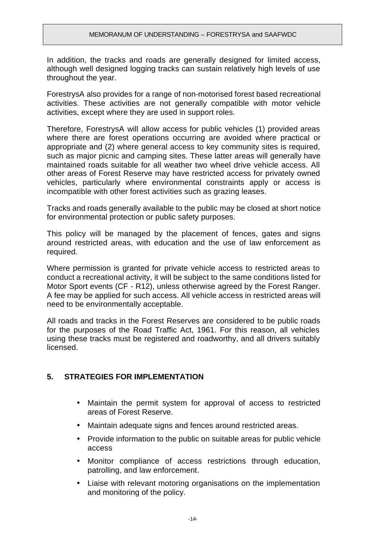In addition, the tracks and roads are generally designed for limited access, although well designed logging tracks can sustain relatively high levels of use throughout the year.

ForestrysA also provides for a range of non-motorised forest based recreational activities. These activities are not generally compatible with motor vehicle activities, except where they are used in support roles.

Therefore, ForestrysA will allow access for public vehicles (1) provided areas where there are forest operations occurring are avoided where practical or appropriate and (2) where general access to key community sites is required, such as major picnic and camping sites. These latter areas will generally have maintained roads suitable for all weather two wheel drive vehicle access. All other areas of Forest Reserve may have restricted access for privately owned vehicles, particularly where environmental constraints apply or access is incompatible with other forest activities such as grazing leases.

Tracks and roads generally available to the public may be closed at short notice for environmental protection or public safety purposes.

This policy will be managed by the placement of fences, gates and signs around restricted areas, with education and the use of law enforcement as required.

Where permission is granted for private vehicle access to restricted areas to conduct a recreational activity, it will be subject to the same conditions listed for Motor Sport events (CF - R12), unless otherwise agreed by the Forest Ranger. A fee may be applied for such access. All vehicle access in restricted areas will need to be environmentally acceptable.

All roads and tracks in the Forest Reserves are considered to be public roads for the purposes of the Road Traffic Act, 1961. For this reason, all vehicles using these tracks must be registered and roadworthy, and all drivers suitably licensed.

# **5. STRATEGIES FOR IMPLEMENTATION**

- Maintain the permit system for approval of access to restricted areas of Forest Reserve.
- Maintain adequate signs and fences around restricted areas.
- Provide information to the public on suitable areas for public vehicle access
- Monitor compliance of access restrictions through education, patrolling, and law enforcement.
- Liaise with relevant motoring organisations on the implementation and monitoring of the policy.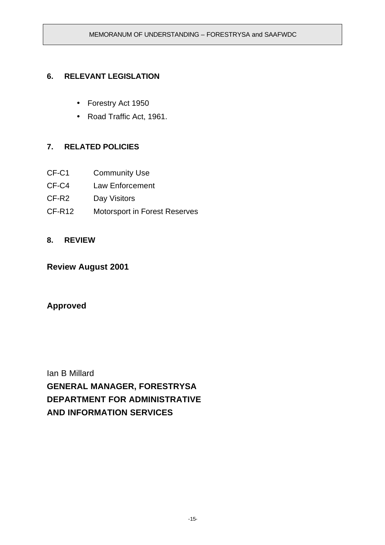# **6. RELEVANT LEGISLATION**

- Forestry Act 1950
- Road Traffic Act, 1961.

# **7. RELATED POLICIES**

- CF-C1 Community Use
- CF-C4 Law Enforcement
- CF-R2 Day Visitors
- CF-R12 Motorsport in Forest Reserves

# **8. REVIEW**

# **Review August 2001**

# **Approved**

Ian B Millard **GENERAL MANAGER, FORESTRYSA DEPARTMENT FOR ADMINISTRATIVE AND INFORMATION SERVICES**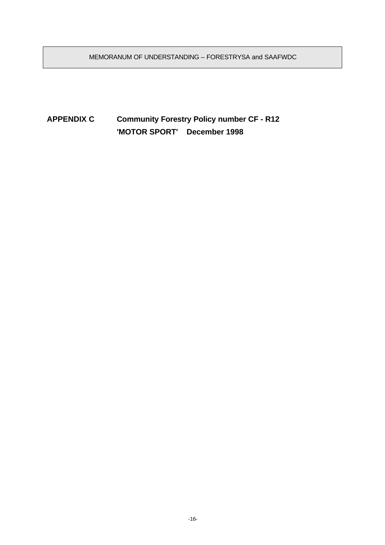MEMORANUM OF UNDERSTANDING – FORESTRYSA and SAAFWDC

# **APPENDIX C Community Forestry Policy number CF - R12 'MOTOR SPORT' December 1998**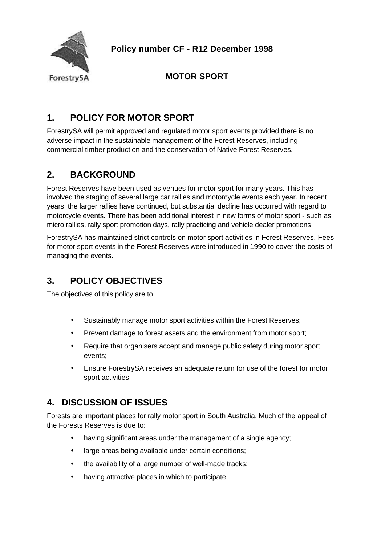

**Policy number CF - R12 December 1998**

**MOTOR SPORT**

# **1. POLICY FOR MOTOR SPORT**

ForestrySA will permit approved and regulated motor sport events provided there is no adverse impact in the sustainable management of the Forest Reserves, including commercial timber production and the conservation of Native Forest Reserves.

# **2. BACKGROUND**

Forest Reserves have been used as venues for motor sport for many years. This has involved the staging of several large car rallies and motorcycle events each year. In recent years, the larger rallies have continued, but substantial decline has occurred with regard to motorcycle events. There has been additional interest in new forms of motor sport - such as micro rallies, rally sport promotion days, rally practicing and vehicle dealer promotions

ForestrySA has maintained strict controls on motor sport activities in Forest Reserves. Fees for motor sport events in the Forest Reserves were introduced in 1990 to cover the costs of managing the events.

# **3. POLICY OBJECTIVES**

The objectives of this policy are to:

- Sustainably manage motor sport activities within the Forest Reserves;
- Prevent damage to forest assets and the environment from motor sport;
- Require that organisers accept and manage public safety during motor sport events;
- Ensure ForestrySA receives an adequate return for use of the forest for motor sport activities.

# **4. DISCUSSION OF ISSUES**

Forests are important places for rally motor sport in South Australia. Much of the appeal of the Forests Reserves is due to:

- having significant areas under the management of a single agency;
- large areas being available under certain conditions;
- the availability of a large number of well-made tracks;
- having attractive places in which to participate.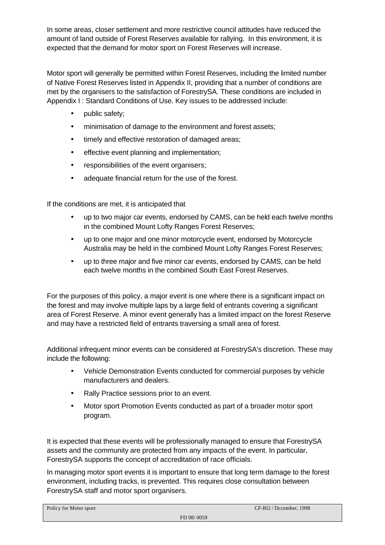In some areas, closer settlement and more restrictive council attitudes have reduced the amount of land outside of Forest Reserves available for rallying. In this environment, it is expected that the demand for motor sport on Forest Reserves will increase.

Motor sport will generally be permitted within Forest Reserves, including the limited number of Native Forest Reserves listed in Appendix II, providing that a number of conditions are met by the organisers to the satisfaction of ForestrySA. These conditions are included in Appendix I : Standard Conditions of Use. Key issues to be addressed include:

- public safety;
- minimisation of damage to the environment and forest assets;
- timely and effective restoration of damaged areas;
- effective event planning and implementation;
- responsibilities of the event organisers;
- adequate financial return for the use of the forest.

If the conditions are met, it is anticipated that

- up to two major car events, endorsed by CAMS, can be held each twelve months in the combined Mount Lofty Ranges Forest Reserves;
- up to one major and one minor motorcycle event, endorsed by Motorcycle Australia may be held in the combined Mount Lofty Ranges Forest Reserves;
- up to three major and five minor car events, endorsed by CAMS, can be held each twelve months in the combined South East Forest Reserves.

For the purposes of this policy, a major event is one where there is a significant impact on the forest and may involve multiple laps by a large field of entrants covering a significant area of Forest Reserve. A minor event generally has a limited impact on the forest Reserve and may have a restricted field of entrants traversing a small area of forest.

Additional infrequent minor events can be considered at ForestrySA's discretion. These may include the following:

- Vehicle Demonstration Events conducted for commercial purposes by vehicle manufacturers and dealers.
- Rally Practice sessions prior to an event.
- Motor sport Promotion Events conducted as part of a broader motor sport program.

It is expected that these events will be professionally managed to ensure that ForestrySA assets and the community are protected from any impacts of the event. In particular, ForestrySA supports the concept of accreditation of race officials.

In managing motor sport events it is important to ensure that long term damage to the forest environment, including tracks, is prevented. This requires close consultation between ForestrySA staff and motor sport organisers.

| Policy for Motor sport |            | CF-R12 / Dccember, 1998 |
|------------------------|------------|-------------------------|
|                        | FD 98/0059 |                         |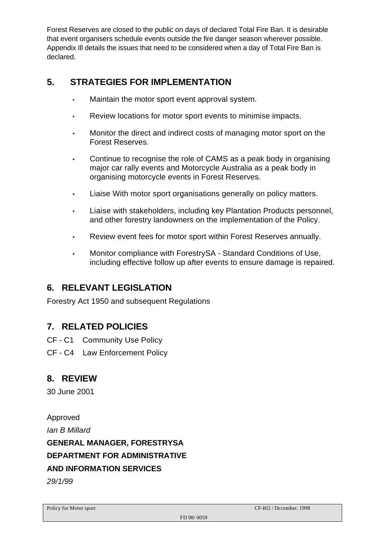Forest Reserves are closed to the public on days of declared Total Fire Ban. It is desirable that event organisers schedule events outside the fire danger season wherever possible. Appendix Ill details the issues that need to be considered when a day of Total Fire Ban is declared.

# **5. STRATEGIES FOR IMPLEMENTATION**

- Maintain the motor sport event approval system.
- Review locations for motor sport events to minimise impacts.
- Monitor the direct and indirect costs of managing motor sport on the Forest Reserves.
- Continue to recognise the role of CAMS as a peak body in organising major car rally events and Motorcycle Australia as a peak body in organising motorcycle events in Forest Reserves.
- Liaise With motor sport organisations generally on policy matters.
- Liaise with stakeholders, including key Plantation Products personnel, and other forestry landowners on the implementation of the Policy.
- Review event fees for motor sport within Forest Reserves annually.
- Monitor compliance with ForestrySA Standard Conditions of Use, including effective follow up after events to ensure damage is repaired.

# **6. RELEVANT LEGISLATION**

Forestry Act 1950 and subsequent Regulations

# **7. RELATED POLICIES**

- CF C1 Community Use Policy
- CF C4 Law Enforcement Policy

# **8. REVIEW**

30 June 2001

Approved *Ian B Millard* **GENERAL MANAGER, FORESTRYSA DEPARTMENT FOR ADMINISTRATIVE AND INFORMATION SERVICES** *29/1/99*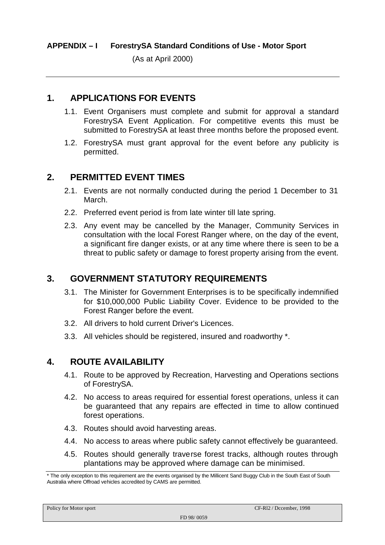(As at April 2000)

# **1. APPLICATIONS FOR EVENTS**

- 1.1. Event Organisers must complete and submit for approval a standard ForestrySA Event Application. For competitive events this must be submitted to ForestrySA at least three months before the proposed event.
- 1.2. ForestrySA must grant approval for the event before any publicity is permitted.

# **2. PERMITTED EVENT TIMES**

- 2.1. Events are not normally conducted during the period 1 December to 31 March.
- 2.2. Preferred event period is from late winter till late spring.
- 2.3. Any event may be cancelled by the Manager, Community Services in consultation with the local Forest Ranger where, on the day of the event, a significant fire danger exists, or at any time where there is seen to be a threat to public safety or damage to forest property arising from the event.

# **3. GOVERNMENT STATUTORY REQUIREMENTS**

- 3.1. The Minister for Government Enterprises is to be specifically indemnified for \$10,000,000 Public Liability Cover. Evidence to be provided to the Forest Ranger before the event.
- 3.2. All drivers to hold current Driver's Licences.
- 3.3. All vehicles should be registered, insured and roadworthy \*.

# **4. ROUTE AVAILABILITY**

- 4.1. Route to be approved by Recreation, Harvesting and Operations sections of ForestrySA.
- 4.2. No access to areas required for essential forest operations, unless it can be guaranteed that any repairs are effected in time to allow continued forest operations.
- 4.3. Routes should avoid harvesting areas.
- 4.4. No access to areas where public safety cannot effectively be guaranteed.
- 4.5. Routes should generally traverse forest tracks, although routes through plantations may be approved where damage can be minimised.

<sup>\*</sup> The only exception to this requirement are the events organised by the Millicent Sand Buggy Club in the South East of South Australia where Offroad vehicles accredited by CAMS are permitted.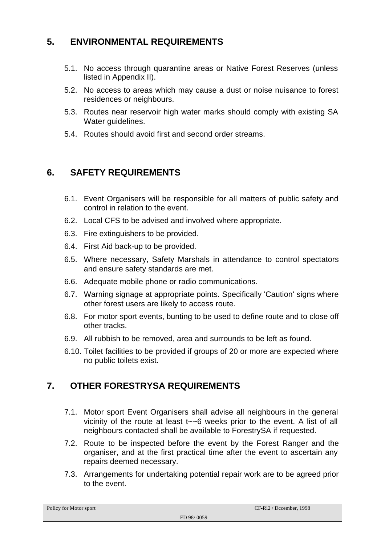# **5. ENVIRONMENTAL REQUIREMENTS**

- 5.1. No access through quarantine areas or Native Forest Reserves (unless listed in Appendix II).
- 5.2. No access to areas which may cause a dust or noise nuisance to forest residences or neighbours.
- 5.3. Routes near reservoir high water marks should comply with existing SA Water guidelines.
- 5.4. Routes should avoid first and second order streams.

# **6. SAFETY REQUIREMENTS**

- 6.1. Event Organisers will be responsible for all matters of public safety and control in relation to the event.
- 6.2. Local CFS to be advised and involved where appropriate.
- 6.3. Fire extinguishers to be provided.
- 6.4. First Aid back-up to be provided.
- 6.5. Where necessary, Safety Marshals in attendance to control spectators and ensure safety standards are met.
- 6.6. Adequate mobile phone or radio communications.
- 6.7. Warning signage at appropriate points. Specifically 'Caution' signs where other forest users are likely to access route.
- 6.8. For motor sport events, bunting to be used to define route and to close off other tracks.
- 6.9. All rubbish to be removed, area and surrounds to be left as found.
- 6.10. Toilet facilities to be provided if groups of 20 or more are expected where no public toilets exist.

# **7. OTHER FORESTRYSA REQUIREMENTS**

- 7.1. Motor sport Event Organisers shall advise all neighbours in the general vicinity of the route at least t~~6 weeks prior to the event. A list of all neighbours contacted shall be available to ForestrySA if requested.
- 7.2. Route to be inspected before the event by the Forest Ranger and the organiser, and at the first practical time after the event to ascertain any repairs deemed necessary.
- 7.3. Arrangements for undertaking potential repair work are to be agreed prior to the event.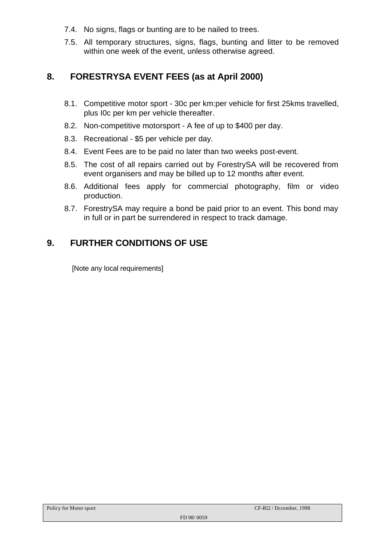- 7.4. No signs, flags or bunting are to be nailed to trees.
- 7.5. All temporary structures, signs, flags, bunting and litter to be removed within one week of the event, unless otherwise agreed.

# **8. FORESTRYSA EVENT FEES (as at April 2000)**

- 8.1. Competitive motor sport 30c per km:per vehicle for first 25kms travelled, plus I0c per km per vehicle thereafter.
- 8.2. Non-competitive motorsport A fee of up to \$400 per day.
- 8.3. Recreational \$5 per vehicle per day.
- 8.4. Event Fees are to be paid no later than two weeks post-event.
- 8.5. The cost of all repairs carried out by ForestrySA will be recovered from event organisers and may be billed up to 12 months after event.
- 8.6. Additional fees apply for commercial photography, film or video production.
- 8.7. ForestrySA may require a bond be paid prior to an event. This bond may in full or in part be surrendered in respect to track damage.

# **9. FURTHER CONDITIONS OF USE**

[Note any local requirements]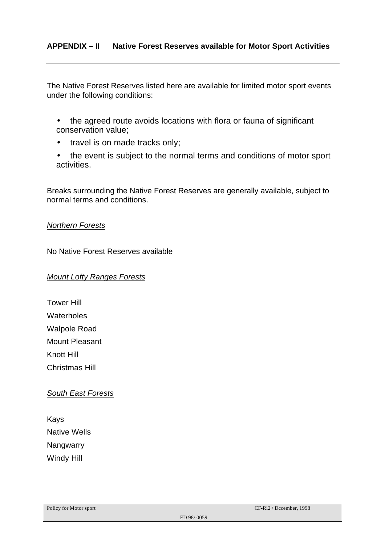The Native Forest Reserves listed here are available for limited motor sport events under the following conditions:

- the agreed route avoids locations with flora or fauna of significant conservation value;
- travel is on made tracks only;
- the event is subject to the normal terms and conditions of motor sport activities.

Breaks surrounding the Native Forest Reserves are generally available, subject to normal terms and conditions.

#### *Northern Forests*

No Native Forest Reserves available

#### *Mount Lofty Ranges Forests*

Tower Hill Waterholes Walpole Road Mount Pleasant Knott Hill Christmas Hill

#### *South East Forests*

Kays Native Wells Nangwarry Windy Hill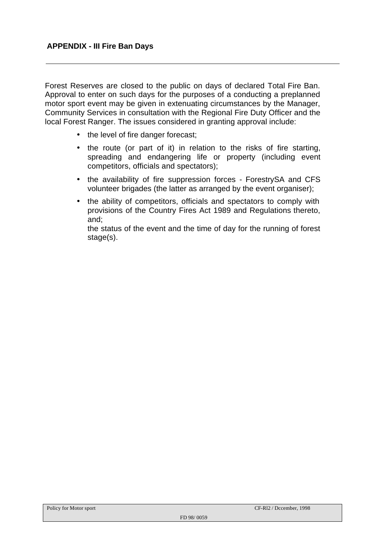Forest Reserves are closed to the public on days of declared Total Fire Ban. Approval to enter on such days for the purposes of a conducting a preplanned motor sport event may be given in extenuating circumstances by the Manager, Community Services in consultation with the Regional Fire Duty Officer and the local Forest Ranger. The issues considered in granting approval include:

- the level of fire danger forecast;
- the route (or part of it) in relation to the risks of fire starting, spreading and endangering life or property (including event competitors, officials and spectators);
- the availability of fire suppression forces ForestrySA and CFS volunteer brigades (the latter as arranged by the event organiser);
- the ability of competitors, officials and spectators to comply with provisions of the Country Fires Act 1989 and Regulations thereto, and;

the status of the event and the time of day for the running of forest stage(s).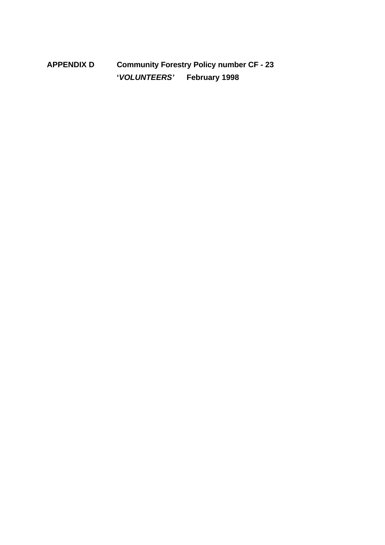**APPENDIX D Community Forestry Policy number CF - 23 '***VOLUNTEERS'* **February 1998**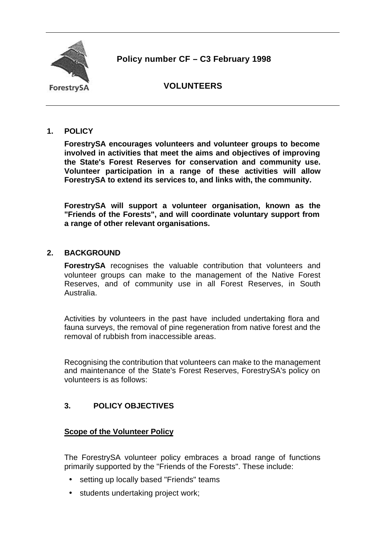

**Policy number CF – C3 February 1998**

ForestrySA

# **VOLUNTEERS**

# **1. POLICY**

**ForestrySA encourages volunteers and volunteer groups to become involved in activities that meet the aims and objectives of improving the State's Forest Reserves for conservation and community use. Volunteer participation in a range of these activities will allow ForestrySA to extend its services to, and links with, the community.**

**ForestrySA will support a volunteer organisation, known as the "Friends of the Forests", and will coordinate voluntary support from a range of other relevant organisations.**

# **2. BACKGROUND**

**ForestrySA** recognises the valuable contribution that volunteers and volunteer groups can make to the management of the Native Forest Reserves, and of community use in all Forest Reserves, in South Australia.

Activities by volunteers in the past have included undertaking flora and fauna surveys, the removal of pine regeneration from native forest and the removal of rubbish from inaccessible areas.

Recognising the contribution that volunteers can make to the management and maintenance of the State's Forest Reserves, ForestrySA's policy on volunteers is as follows:

# **3. POLICY OBJECTIVES**

### **Scope of the Volunteer Policy**

The ForestrySA volunteer policy embraces a broad range of functions primarily supported by the "Friends of the Forests". These include:

- setting up locally based "Friends" teams
- students undertaking project work;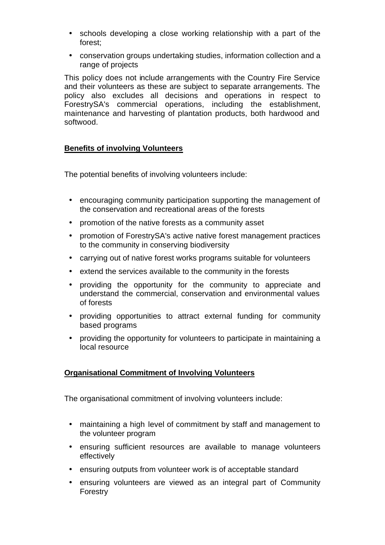- schools developing a close working relationship with a part of the forest;
- conservation groups undertaking studies, information collection and a range of projects

This policy does not include arrangements with the Country Fire Service and their volunteers as these are subject to separate arrangements. The policy also excludes all decisions and operations in respect to ForestrySA's commercial operations, including the establishment, maintenance and harvesting of plantation products, both hardwood and softwood.

# **Benefits of involving Volunteers**

The potential benefits of involving volunteers include:

- encouraging community participation supporting the management of the conservation and recreational areas of the forests
- promotion of the native forests as a community asset
- promotion of ForestrySA's active native forest management practices to the community in conserving biodiversity
- carrying out of native forest works programs suitable for volunteers
- extend the services available to the community in the forests
- providing the opportunity for the community to appreciate and understand the commercial, conservation and environmental values of forests
- providing opportunities to attract external funding for community based programs
- providing the opportunity for volunteers to participate in maintaining a local resource

# **Organisational Commitment of Involving Volunteers**

The organisational commitment of involving volunteers include:

- maintaining a high level of commitment by staff and management to the volunteer program
- ensuring sufficient resources are available to manage volunteers effectively
- ensuring outputs from volunteer work is of acceptable standard
- ensuring volunteers are viewed as an integral part of Community Forestry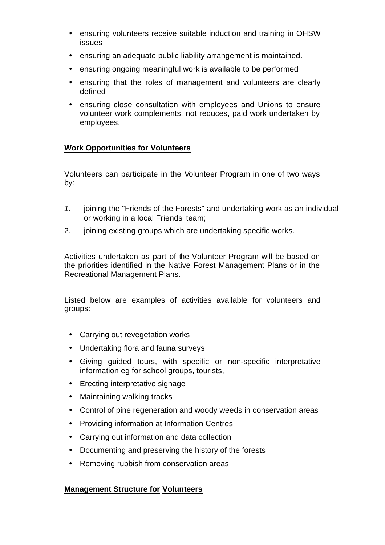- ensuring volunteers receive suitable induction and training in OHSW issues
- ensuring an adequate public liability arrangement is maintained.
- ensuring ongoing meaningful work is available to be performed
- ensuring that the roles of management and volunteers are clearly defined
- ensuring close consultation with employees and Unions to ensure volunteer work complements, not reduces, paid work undertaken by employees.

# **Work Opportunities for Volunteers**

Volunteers can participate in the Volunteer Program in one of two ways by:

- *1.* joining the "Friends of the Forests" and undertaking work as an individual or working in a local Friends' team;
- 2. joining existing groups which are undertaking specific works.

Activities undertaken as part of the Volunteer Program will be based on the priorities identified in the Native Forest Management Plans or in the Recreational Management Plans.

Listed below are examples of activities available for volunteers and groups:

- Carrying out revegetation works
- Undertaking flora and fauna surveys
- Giving guided tours, with specific or non-specific interpretative information eg for school groups, tourists,
- Erecting interpretative signage
- Maintaining walking tracks
- Control of pine regeneration and woody weeds in conservation areas
- Providing information at Information Centres
- Carrying out information and data collection
- Documenting and preserving the history of the forests
- Removing rubbish from conservation areas

### **Management Structure for Volunteers**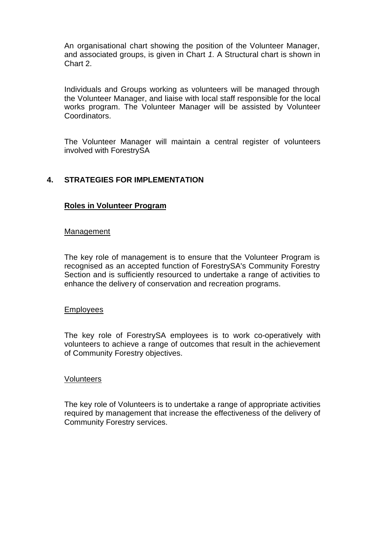An organisational chart showing the position of the Volunteer Manager, and associated groups, is given in Chart *1.* A Structural chart is shown in Chart 2.

Individuals and Groups working as volunteers will be managed through the Volunteer Manager, and liaise with local staff responsible for the local works program. The Volunteer Manager will be assisted by Volunteer Coordinators.

The Volunteer Manager will maintain a central register of volunteers involved with ForestrySA

# **4. STRATEGIES FOR IMPLEMENTATION**

#### **Roles in Volunteer Program**

#### Management

The key role of management is to ensure that the Volunteer Program is recognised as an accepted function of ForestrySA's Community Forestry Section and is sufficiently resourced to undertake a range of activities to enhance the delivery of conservation and recreation programs.

#### Employees

The key role of ForestrySA employees is to work co-operatively with volunteers to achieve a range of outcomes that result in the achievement of Community Forestry objectives.

#### **Volunteers**

The key role of Volunteers is to undertake a range of appropriate activities required by management that increase the effectiveness of the delivery of Community Forestry services.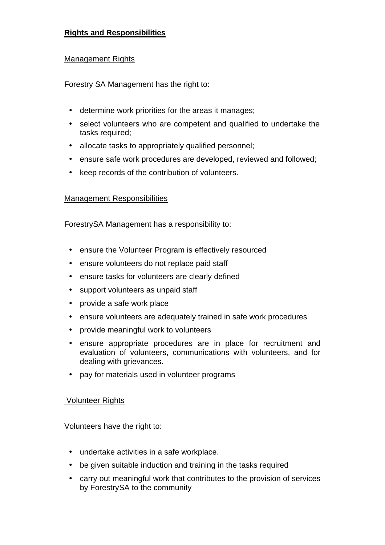# **Rights and Responsibilities**

### Management Rights

Forestry SA Management has the right to:

- determine work priorities for the areas it manages;
- select volunteers who are competent and qualified to undertake the tasks required;
- allocate tasks to appropriately qualified personnel;
- ensure safe work procedures are developed, reviewed and followed;
- keep records of the contribution of volunteers.

### Management Responsibilities

ForestrySA Management has a responsibility to:

- ensure the Volunteer Program is effectively resourced
- ensure volunteers do not replace paid staff
- ensure tasks for volunteers are clearly defined
- support volunteers as unpaid staff
- provide a safe work place
- ensure volunteers are adequately trained in safe work procedures
- provide meaningful work to volunteers
- ensure appropriate procedures are in place for recruitment and evaluation of volunteers, communications with volunteers, and for dealing with grievances.
- pay for materials used in volunteer programs

### Volunteer Rights

Volunteers have the right to:

- undertake activities in a safe workplace.
- be given suitable induction and training in the tasks required
- carry out meaningful work that contributes to the provision of services by ForestrySA to the community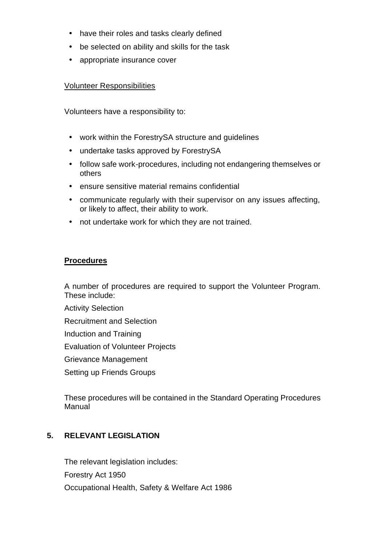- have their roles and tasks clearly defined
- be selected on ability and skills for the task
- appropriate insurance cover

#### Volunteer Responsibilities

Volunteers have a responsibility to:

- work within the ForestrySA structure and guidelines
- undertake tasks approved by ForestrySA
- follow safe work-procedures, including not endangering themselves or others
- ensure sensitive material remains confidential
- communicate regularly with their supervisor on any issues affecting, or likely to affect, their ability to work.
- not undertake work for which they are not trained.

### **Procedures**

A number of procedures are required to support the Volunteer Program. These include:

Activity Selection

Recruitment and Selection

Induction and Training

Evaluation of Volunteer Projects

Grievance Management

Setting up Friends Groups

These procedures will be contained in the Standard Operating Procedures Manual

### **5. RELEVANT LEGISLATION**

The relevant legislation includes: Forestry Act 1950 Occupational Health, Safety & Welfare Act 1986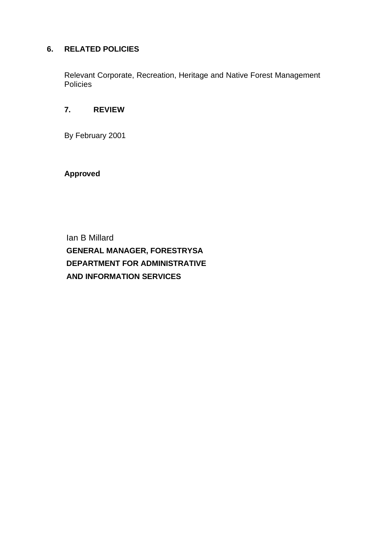# **6. RELATED POLICIES**

Relevant Corporate, Recreation, Heritage and Native Forest Management Policies

# **7. REVIEW**

By February 2001

**Approved**

Ian B Millard **GENERAL MANAGER, FORESTRYSA DEPARTMENT FOR ADMINISTRATIVE AND INFORMATION SERVICES**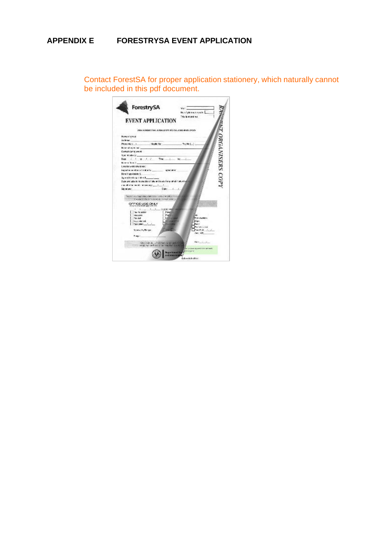# **APPENDIX E FORESTRYSA EVENT APPLICATION**

Contact ForestSA for proper application stationery, which naturally cannot be included in this pdf document.

| ForestrySA<br>EVENT APPLICATION                                                                                            | Wat<br><b>Building make</b><br>This is might be: |
|----------------------------------------------------------------------------------------------------------------------------|--------------------------------------------------|
| THE FORECT HALLING DISTINGUISHED AND CASS.                                                                                 |                                                  |
| Nume of orough<br><b>ACROSS</b>                                                                                            |                                                  |
| Abody No.<br>Phone Hors 1<br>Behaviol and margaret and                                                                     | <b>ORGANISERS COPY</b><br>Profiled Links         |
| Contact during swent                                                                                                       |                                                  |
| Type of advertising                                                                                                        |                                                  |
|                                                                                                                            | kx.                                              |
| No annual fairs (3)                                                                                                        |                                                  |
| Location within the lorest                                                                                                 |                                                  |
| happening an effect of children by the company of presentation                                                             |                                                  |
| Done if agolizable: 6.                                                                                                     |                                                  |
| Against the danger rates, Supporting                                                                                       |                                                  |
| Date available to the people that of alle and post of energy at abilitation bat                                            |                                                  |
| and allot be two of a minimizing the state of                                                                              |                                                  |
| Date:<br>Skingtung                                                                                                         |                                                  |
| watercolor improvements and the state of the interest of the color<br>for what in this british were to include this decay. |                                                  |
| OFFICE USE ONLY                                                                                                            |                                                  |
| All and All and State Man                                                                                                  |                                                  |
| <b>BALTIC SERIES</b>                                                                                                       |                                                  |
| <b>AND LAPS</b><br>Tex-List                                                                                                | Third building                                   |
| Southward.                                                                                                                 | <b>User</b>                                      |
|                                                                                                                            |                                                  |
|                                                                                                                            | <b>CREATING</b><br>Fax F of                      |
| tranch, Brige                                                                                                              | Cars, 1410                                       |
|                                                                                                                            |                                                  |
| Primary!                                                                                                                   |                                                  |
|                                                                                                                            |                                                  |
| Vita train des solaits territoire permitti de la                                                                           | Material Corp.                                   |
| way an activity of a case for the first                                                                                    | ta susan secondo da visitanti.                   |
| commend by<br><b>20 mes mes</b>                                                                                            | <b>Or engany</b>                                 |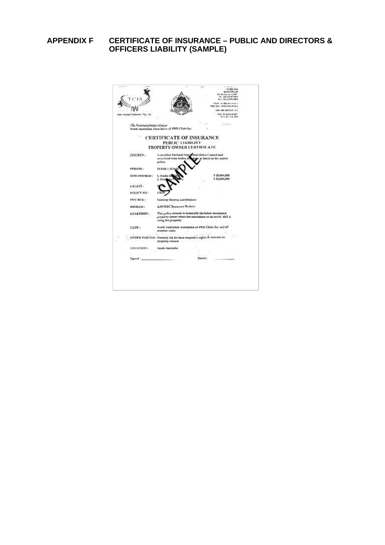# **APPENDIX F CERTIFICATE OF INSURANCE – PUBLIC AND DIRECTORS & OFFICERS LIABILITY (SAMPLE)**

|                                 |                                                                                                                                           |         | PER BOOK (CD)<br>Non-City Acros Anns<br>Creati Attalla descense a<br>Maio Cita - www.scis.com.n.a. |
|---------------------------------|-------------------------------------------------------------------------------------------------------------------------------------------|---------|----------------------------------------------------------------------------------------------------|
|                                 |                                                                                                                                           |         | FOR LINE TURN OUT, IM 2                                                                            |
| percentage Pirmicery, Phy 1 tot |                                                                                                                                           |         | ALC: 0 20 JUN 101<br>ASS 021 278 364                                                               |
| The Secretary/Public Ollister   | South Australian Association of 4WD Clobs Inc.                                                                                            |         | 1.4833                                                                                             |
|                                 | <b>CERTIFICATE OF INSURANCE</b><br>PUBLIC LIABILITY<br>PROPERTY OWNER CERTIFICATE                                                         |         |                                                                                                    |
|                                 |                                                                                                                                           |         |                                                                                                    |
| ENSURED:                        | Ausnalian National Four Wheel Drive Council and<br>associated state bodies and claim as lated on the musics<br>police.                    |         |                                                                                                    |
| PERIOD:                         | $31/5/00 = 31$                                                                                                                            |         |                                                                                                    |
| SHM INSURED:                    | 1. Public.<br>I. Fra                                                                                                                      |         | 5 20,000,000<br>5 20,000,000                                                                       |
| <b>EXCESS:</b>                  |                                                                                                                                           |         |                                                                                                    |
| POLICY NO:                      |                                                                                                                                           |         |                                                                                                    |
| <b>INSURER:</b>                 | Suncerp Metway Lid Bridgese                                                                                                               |         |                                                                                                    |
| ISBN MCERC:                     | <b>ANEWDC Issuemer Bookers</b> .                                                                                                          |         |                                                                                                    |
| EXTENSION:                      | This palicy extends to indentify the below mentioned<br>property stener where the association or its noted club is<br>using the property. |         |                                                                                                    |
| CLUB <sub>1</sub>               | South Australian Association of 4WD Clubs Inc. and all<br>member ciube                                                                    |         |                                                                                                    |
|                                 | OTHER PARTIES : Formiry SA for their respective rights & interest as-<br>property owners                                                  |         |                                                                                                    |
| LOCATION:                       | Seult Australia                                                                                                                           |         |                                                                                                    |
| Spered :                        |                                                                                                                                           | Dariod: |                                                                                                    |
|                                 |                                                                                                                                           |         |                                                                                                    |
|                                 |                                                                                                                                           |         |                                                                                                    |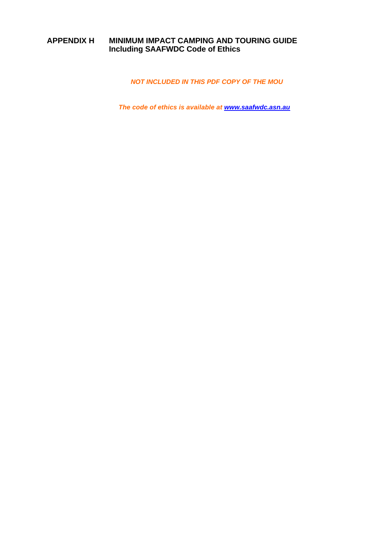# **APPENDIX H MINIMUM IMPACT CAMPING AND TOURING GUIDE Including SAAFWDC Code of Ethics**

*NOT INCLUDED IN THIS PDF COPY OF THE MOU*

*The code of ethics is available at www.saafwdc.asn.au*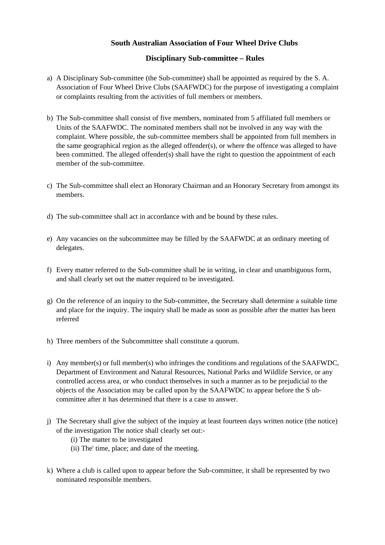#### **South Australian Association of Four Wheel Drive Clubs**

#### **Disciplinary Sub-committee – Rules**

- a) A Disciplinary Sub-committee (the Sub-committee) shall be appointed as required by the S. A. Association of Four Wheel Drive Clubs (SAAFWDC) for the purpose of investigating a complaint or complaints resulting from the activities of full members or members.
- b) The Sub-committee shall consist of five members, nominated from 5 affiliated full members or Units of the SAAFWDC. The nominated members shall not be involved in any way with the complaint. Where possible, the sub-committee members shall be appointed from full members in the same geographical region as the alleged offender(s), or where the offence was alleged to have been committed. The alleged offender(s) shall have the right to question the appointment of each member of the sub-committee.
- c) The Sub-committee shall elect an Honorary Chairman and an Honorary Secretary from amongst its members.
- d) The sub-committee shall act in accordance with and be bound by these rules.
- e) Any vacancies on the subcommittee may be filled by the SAAFWDC at an ordinary meeting of delegates.
- f) Every matter referred to the Sub-committee shall be in writing, in clear and unambiguous form, and shall clearly set out the matter required to be investigated.
- g) On the reference of an inquiry to the Sub-committee, the Secretary shall determine a suitable time and place for the inquiry. The inquiry shall be made as soon as possible after the matter has been referred
- h) Three members of the Subcommittee shall constitute a quorum.
- i) Any member(s) or full member(s) who infringes the conditions and regulations of the SAAFWDC, Department of Environment and Natural Resources, National Parks and Wildlife Service, or any controlled access area, or who conduct themselves in such a manner as to be prejudicial to the objects of the Association may be called upon by the SAAFWDC to appear before the S ubcommittee after it has determined that there is a case to answer.
- j) The Secretary shall give the subject of the inquiry at least fourteen days written notice (the notice) of the investigation The notice shall clearly set out:-
	- (i) The matter to be investigated
	- (ii) The' time, place; and date of the meeting.
- k) Where a club is called upon to appear before the Sub-committee, it shall be represented by two nominated responsible members.